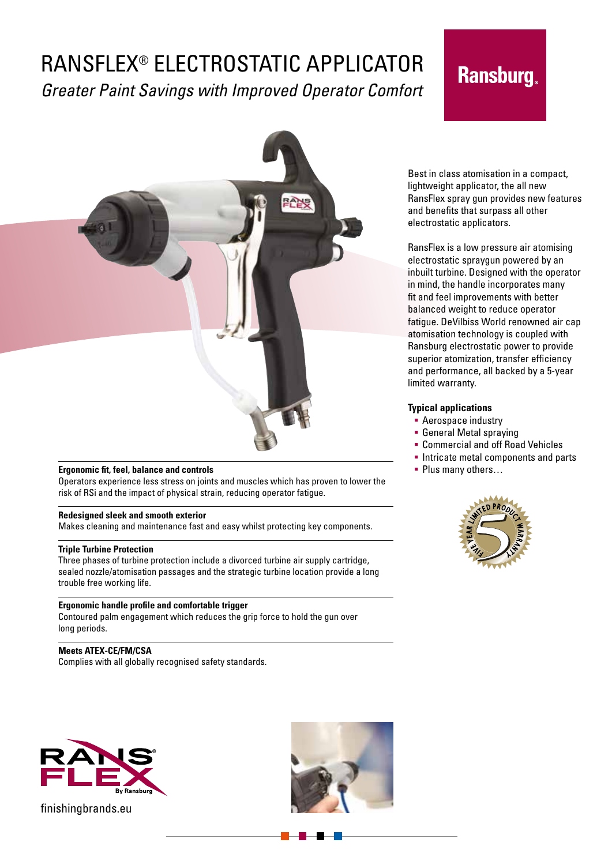## RANSFLEX® ELECTROSTATIC APPLICATOR *Greater Paint Savings with Improved Operator Comfort*

# **Ransburg.**



## **Ergonomic fit, feel, balance and controls**

Operators experience less stress on joints and muscles which has proven to lower the risk of RSi and the impact of physical strain, reducing operator fatigue.

## **Redesigned sleek and smooth exterior**

Makes cleaning and maintenance fast and easy whilst protecting key components.

### **Triple Turbine Protection**

Three phases of turbine protection include a divorced turbine air supply cartridge, sealed nozzle/atomisation passages and the strategic turbine location provide a long trouble free working life.

## **Ergonomic handle profile and comfortable trigger**

Contoured palm engagement which reduces the grip force to hold the gun over long periods.

## **Meets ATEX-CE/FM/CSA**

Complies with all globally recognised safety standards.





Best in class atomisation in a compact, lightweight applicator, the all new RansFlex spray gun provides new features and benefits that surpass all other electrostatic applicators.

RansFlex is a low pressure air atomising electrostatic spraygun powered by an inbuilt turbine. Designed with the operator in mind, the handle incorporates many fit and feel improvements with better balanced weight to reduce operator fatigue. DeVilbiss World renowned air cap atomisation technology is coupled with Ransburg electrostatic power to provide superior atomization, transfer efficiency and performance, all backed by a 5-year limited warranty.

## **Typical applications**

- **Aerospace industry**
- General Metal spraying
- Commercial and off Road Vehicles
- **Intricate metal components and parts**
- **Plus many others...**



finishingbrands.eu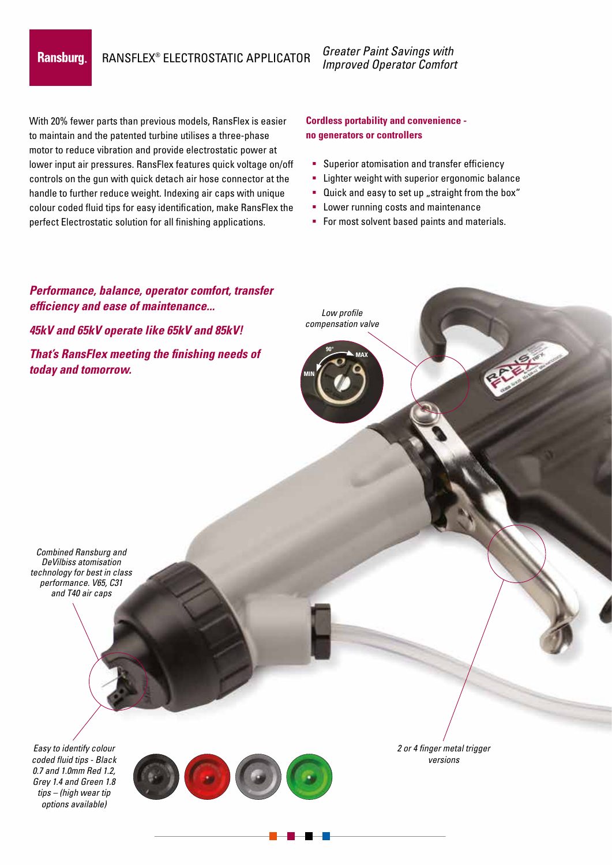## **Ransburg**

RANSFLEX® ELECTROSTATIC APPLICATOR

*Greater Paint Savings with Improved Operator Comfort*

With 20% fewer parts than previous models, RansFlex is easier to maintain and the patented turbine utilises a three-phase motor to reduce vibration and provide electrostatic power at lower input air pressures. RansFlex features quick voltage on/off controls on the gun with quick detach air hose connector at the handle to further reduce weight. Indexing air caps with unique colour coded fluid tips for easy identification, make RansFlex the perfect Electrostatic solution for all finishing applications.

## **Cordless portability and convenience no generators or controllers**

- **Superior atomisation and transfer efficiency**
- **EXECT:** Lighter weight with superior ergonomic balance
- **Quick and easy to set up** "straight from the box"
- **-** Lower running costs and maintenance
- For most solvent based paints and materials.

## *Easy to identify colour coded fluid tips - Black Performance, balance, operator comfort, transfer efficiency and ease of maintenance... 45kV and 65kV operate like 65kV and 85kV! That's RansFlex meeting the finishing needs of today and tomorrow. 2 or 4 finger metal trigger versions Low profile compensation valve Combined Ransburg and DeVilbiss atomisation technology for best in class performance. V65, C31 and T40 air caps* **MAX MIN 90°**

*0.7 and 1.0mm Red 1.2, Grey 1.4 and Green 1.8 tips – (high wear tip options available)*

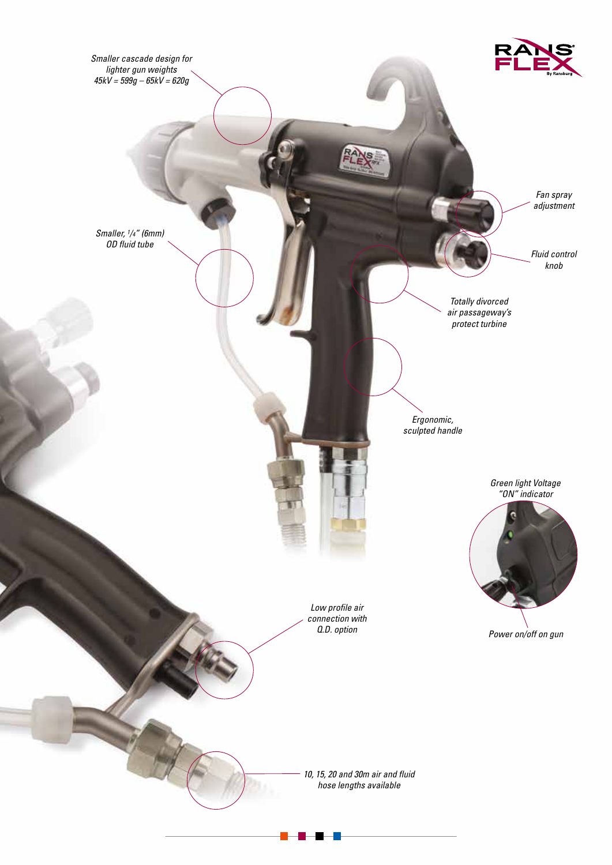